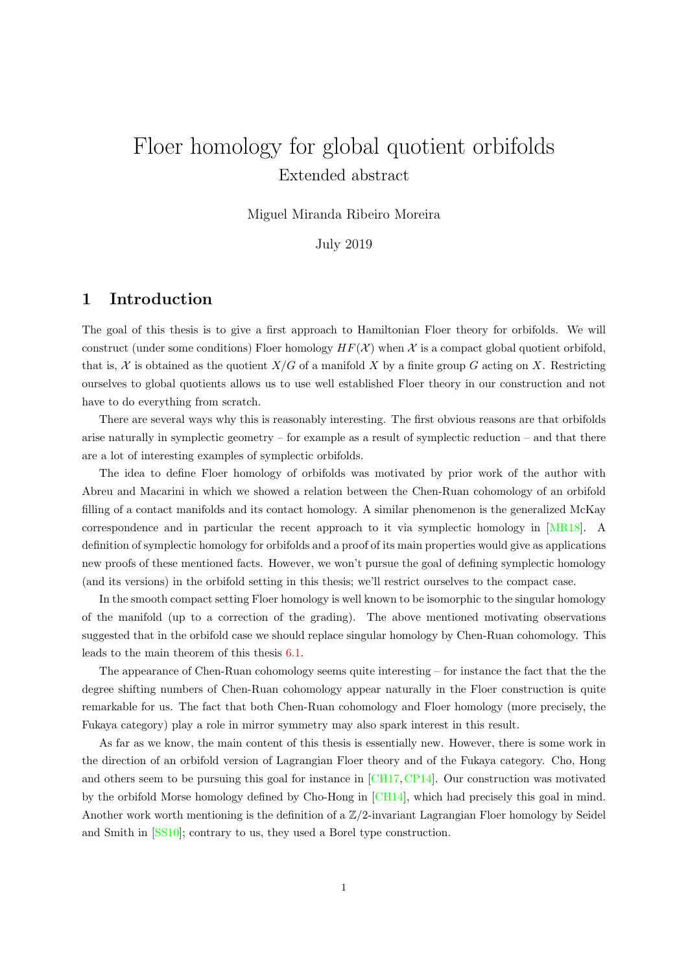# Floer homology for global quotient orbifolds Extended abstract

Miguel Miranda Ribeiro Moreira

July 2019

## 1 Introduction

The goal of this thesis is to give a first approach to Hamiltonian Floer theory for orbifolds. We will construct (under some conditions) Floer homology  $HF(X)$  when X is a compact global quotient orbifold, that is, X is obtained as the quotient  $X/G$  of a manifold X by a finite group G acting on X. Restricting ourselves to global quotients allows us to use well established Floer theory in our construction and not have to do everything from scratch.

There are several ways why this is reasonably interesting. The first obvious reasons are that orbifolds arise naturally in symplectic geometry – for example as a result of symplectic reduction – and that there are a lot of interesting examples of symplectic orbifolds.

The idea to define Floer homology of orbifolds was motivated by prior work of the author with Abreu and Macarini in which we showed a relation between the Chen-Ruan cohomology of an orbifold filling of a contact manifolds and its contact homology. A similar phenomenon is the generalized McKay correspondence and in particular the recent approach to it via symplectic homology in [\[MR18\]](#page-10-0). A definition of symplectic homology for orbifolds and a proof of its main properties would give as applications new proofs of these mentioned facts. However, we won't pursue the goal of defining symplectic homology (and its versions) in the orbifold setting in this thesis; we'll restrict ourselves to the compact case.

In the smooth compact setting Floer homology is well known to be isomorphic to the singular homology of the manifold (up to a correction of the grading). The above mentioned motivating observations suggested that in the orbifold case we should replace singular homology by Chen-Ruan cohomology. This leads to the main theorem of this thesis [6.1.](#page-8-0)

The appearance of Chen-Ruan cohomology seems quite interesting – for instance the fact that the the degree shifting numbers of Chen-Ruan cohomology appear naturally in the Floer construction is quite remarkable for us. The fact that both Chen-Ruan cohomology and Floer homology (more precisely, the Fukaya category) play a role in mirror symmetry may also spark interest in this result.

As far as we know, the main content of this thesis is essentially new. However, there is some work in the direction of an orbifold version of Lagrangian Floer theory and of the Fukaya category. Cho, Hong and others seem to be pursuing this goal for instance in [\[CH17,](#page-10-1)[CP14\]](#page-10-2). Our construction was motivated by the orbifold Morse homology defined by Cho-Hong in [\[CH14\]](#page-10-3), which had precisely this goal in mind. Another work worth mentioning is the definition of a  $\mathbb{Z}/2$ -invariant Lagrangian Floer homology by Seidel and Smith in [\[SS10\]](#page-10-4); contrary to us, they used a Borel type construction.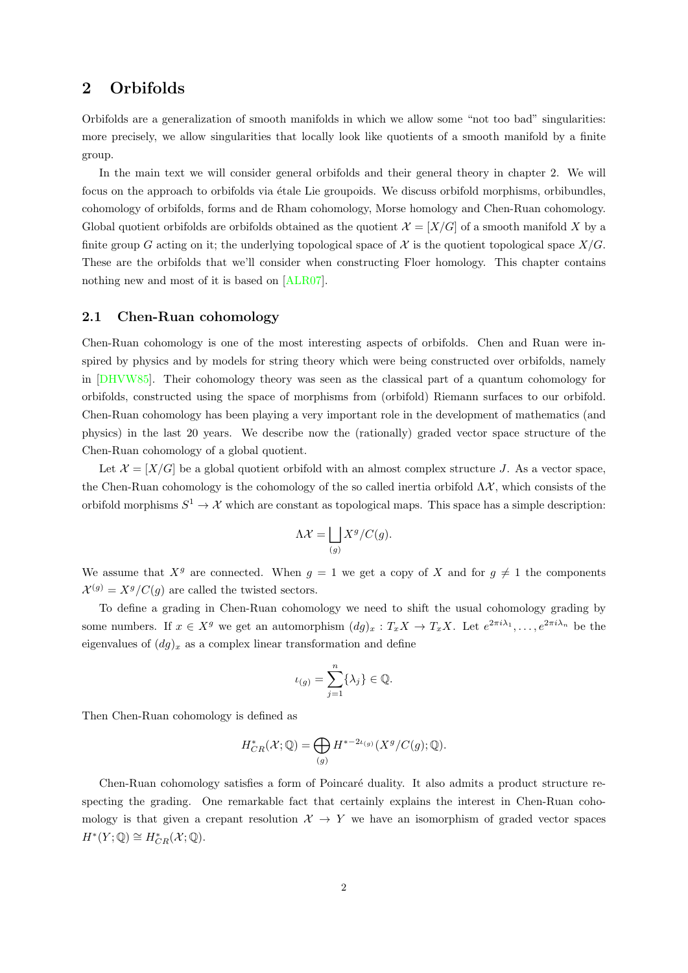## 2 Orbifolds

Orbifolds are a generalization of smooth manifolds in which we allow some "not too bad" singularities: more precisely, we allow singularities that locally look like quotients of a smooth manifold by a finite group.

In the main text we will consider general orbifolds and their general theory in chapter 2. We will focus on the approach to orbifolds via étale Lie groupoids. We discuss orbifold morphisms, orbibundles, cohomology of orbifolds, forms and de Rham cohomology, Morse homology and Chen-Ruan cohomology. Global quotient orbifolds are orbifolds obtained as the quotient  $\mathcal{X} = [X/G]$  of a smooth manifold X by a finite group G acting on it; the underlying topological space of  $\mathcal X$  is the quotient topological space  $X/G$ . These are the orbifolds that we'll consider when constructing Floer homology. This chapter contains nothing new and most of it is based on [\[ALR07\]](#page-10-5).

#### 2.1 Chen-Ruan cohomology

Chen-Ruan cohomology is one of the most interesting aspects of orbifolds. Chen and Ruan were inspired by physics and by models for string theory which were being constructed over orbifolds, namely in [\[DHVW85\]](#page-10-6). Their cohomology theory was seen as the classical part of a quantum cohomology for orbifolds, constructed using the space of morphisms from (orbifold) Riemann surfaces to our orbifold. Chen-Ruan cohomology has been playing a very important role in the development of mathematics (and physics) in the last 20 years. We describe now the (rationally) graded vector space structure of the Chen-Ruan cohomology of a global quotient.

Let  $\mathcal{X} = [X/G]$  be a global quotient orbifold with an almost complex structure J. As a vector space, the Chen-Ruan cohomology is the cohomology of the so called inertia orbifold  $\Lambda \mathcal{X}$ , which consists of the orbifold morphisms  $S^1 \to \mathcal{X}$  which are constant as topological maps. This space has a simple description:

$$
\Lambda \mathcal{X} = \bigsqcup_{(g)} X^g / C(g).
$$

We assume that  $X^g$  are connected. When  $g = 1$  we get a copy of X and for  $g \neq 1$  the components  $\mathcal{X}^{(g)} = X^g/C(g)$  are called the twisted sectors.

To define a grading in Chen-Ruan cohomology we need to shift the usual cohomology grading by some numbers. If  $x \in X^g$  we get an automorphism  $(dg)_x : T_x X \to T_x X$ . Let  $e^{2\pi i \lambda_1}, \ldots, e^{2\pi i \lambda_n}$  be the eigenvalues of  $(dg)_x$  as a complex linear transformation and define

$$
\iota_{(g)} = \sum_{j=1}^n \{\lambda_j\} \in \mathbb{Q}.
$$

Then Chen-Ruan cohomology is defined as

$$
H^*_{CR}(\mathcal{X}; \mathbb{Q}) = \bigoplus_{(g)} H^{*-2\iota_{(g)}}(X^g/C(g); \mathbb{Q}).
$$

Chen-Ruan cohomology satisfies a form of Poincaré duality. It also admits a product structure respecting the grading. One remarkable fact that certainly explains the interest in Chen-Ruan cohomology is that given a crepant resolution  $\mathcal{X} \to Y$  we have an isomorphism of graded vector spaces  $H^*(Y; \mathbb{Q}) \cong H^*_{CR}(\mathcal{X}; \mathbb{Q}).$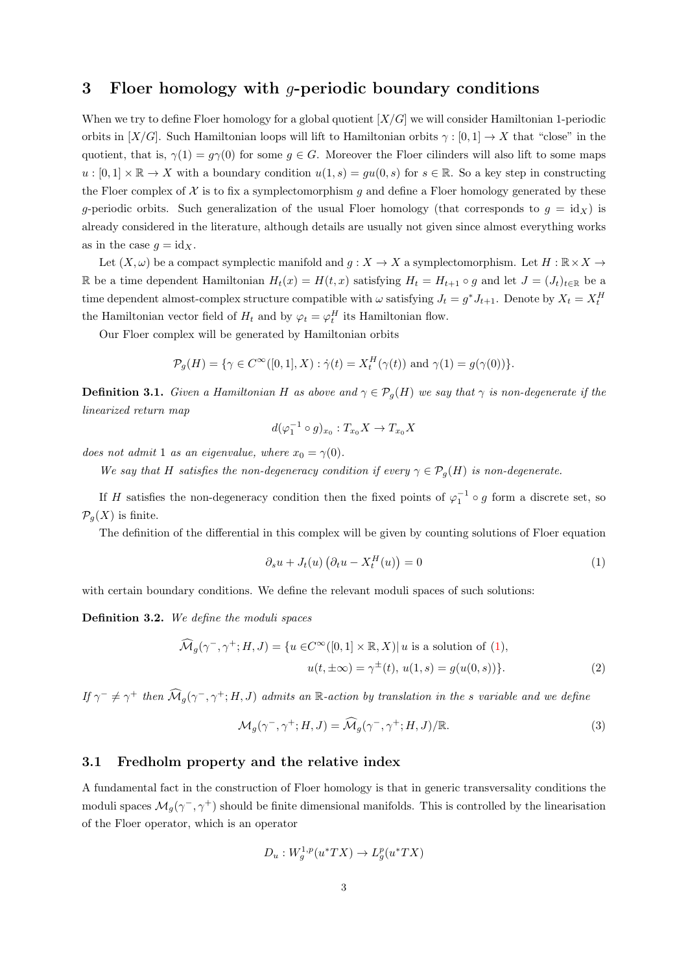#### 3 Floer homology with g-periodic boundary conditions

When we try to define Floer homology for a global quotient  $[X/G]$  we will consider Hamiltonian 1-periodic orbits in  $[X/G]$ . Such Hamiltonian loops will lift to Hamiltonian orbits  $\gamma : [0,1] \to X$  that "close" in the quotient, that is,  $\gamma(1) = g\gamma(0)$  for some  $g \in G$ . Moreover the Floer cilinders will also lift to some maps  $u: [0,1] \times \mathbb{R} \to X$  with a boundary condition  $u(1,s) = gu(0,s)$  for  $s \in \mathbb{R}$ . So a key step in constructing the Floer complex of  $\mathcal X$  is to fix a symplectomorphism g and define a Floer homology generated by these q-periodic orbits. Such generalization of the usual Floer homology (that corresponds to  $q = id<sub>X</sub>$ ) is already considered in the literature, although details are usually not given since almost everything works as in the case  $g = id_X$ .

Let  $(X, \omega)$  be a compact symplectic manifold and  $g: X \to X$  a symplectomorphism. Let  $H: \mathbb{R} \times X \to$ R be a time dependent Hamiltonian  $H_t(x) = H(t, x)$  satisfying  $H_t = H_{t+1} \circ g$  and let  $J = (J_t)_{t \in \mathbb{R}}$  be a time dependent almost-complex structure compatible with  $\omega$  satisfying  $J_t = g^* J_{t+1}$ . Denote by  $X_t = X_t^H$ the Hamiltonian vector field of  $H_t$  and by  $\varphi_t = \varphi_t^H$  its Hamiltonian flow.

Our Floer complex will be generated by Hamiltonian orbits

$$
\mathcal{P}_g(H) = \{ \gamma \in C^{\infty}([0,1],X) : \dot{\gamma}(t) = X_t^H(\gamma(t)) \text{ and } \gamma(1) = g(\gamma(0)) \}.
$$

<span id="page-2-1"></span>**Definition 3.1.** Given a Hamiltonian H as above and  $\gamma \in \mathcal{P}_q(H)$  we say that  $\gamma$  is non-degenerate if the linearized return map

$$
d(\varphi_1^{-1} \circ g)_{x_0} : T_{x_0} X \to T_{x_0} X
$$

does not admit 1 as an eigenvalue, where  $x_0 = \gamma(0)$ .

We say that H satisfies the non-degeneracy condition if every  $\gamma \in \mathcal{P}_g(H)$  is non-degenerate.

If H satisfies the non-degeneracy condition then the fixed points of  $\varphi_1^{-1} \circ g$  form a discrete set, so  $\mathcal{P}_q(X)$  is finite.

The definition of the differential in this complex will be given by counting solutions of Floer equation

<span id="page-2-0"></span>
$$
\partial_s u + J_t(u) \left( \partial_t u - X_t^H(u) \right) = 0 \tag{1}
$$

with certain boundary conditions. We define the relevant moduli spaces of such solutions:

Definition 3.2. We define the moduli spaces

$$
\widehat{\mathcal{M}}_g(\gamma^-, \gamma^+; H, J) = \{ u \in C^\infty([0, 1] \times \mathbb{R}, X) | u \text{ is a solution of } (1),
$$

$$
u(t, \pm \infty) = \gamma^{\pm}(t), u(1, s) = g(u(0, s)) \}. \tag{2}
$$

If  $\gamma^- \neq \gamma^+$  then  $\widehat{\mathcal{M}}_g(\gamma^-,\gamma^+;H,J)$  admits an R-action by translation in the s variable and we define

$$
\mathcal{M}_g(\gamma^-, \gamma^+; H, J) = \widehat{\mathcal{M}}_g(\gamma^-, \gamma^+; H, J) / \mathbb{R}.
$$
\n(3)

#### <span id="page-2-2"></span>3.1 Fredholm property and the relative index

A fundamental fact in the construction of Floer homology is that in generic transversality conditions the moduli spaces  $\mathcal{M}_g(\gamma^-, \gamma^+)$  should be finite dimensional manifolds. This is controlled by the linearisation of the Floer operator, which is an operator

$$
D_u: W_g^{1,p}(u^*TX) \to L_g^p(u^*TX)
$$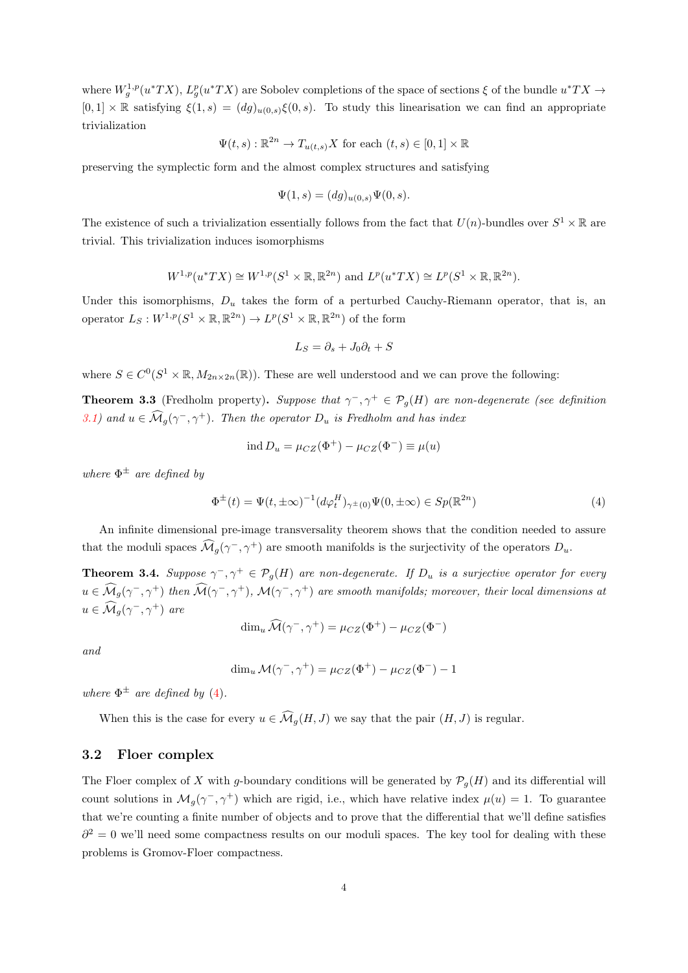where  $W_g^{1,p}(u^*TX)$ ,  $L_g^p(u^*TX)$  are Sobolev completions of the space of sections  $\xi$  of the bundle  $u^*TX \to$  $[0,1] \times \mathbb{R}$  satisfying  $\xi(1,s) = (dg)_{u(0,s)}\xi(0,s)$ . To study this linearisation we can find an appropriate trivialization

$$
\Psi(t,s) : \mathbb{R}^{2n} \to T_{u(t,s)}X \text{ for each } (t,s) \in [0,1] \times \mathbb{R}
$$

preserving the symplectic form and the almost complex structures and satisfying

$$
\Psi(1,s) = (dg)_{u(0,s)} \Psi(0,s).
$$

The existence of such a trivialization essentially follows from the fact that  $U(n)$ -bundles over  $S^1 \times \mathbb{R}$  are trivial. This trivialization induces isomorphisms

$$
W^{1,p}(u^*TX) \cong W^{1,p}(S^1 \times \mathbb{R}, \mathbb{R}^{2n}) \text{ and } L^p(u^*TX) \cong L^p(S^1 \times \mathbb{R}, \mathbb{R}^{2n}).
$$

Under this isomorphisms,  $D_u$  takes the form of a perturbed Cauchy-Riemann operator, that is, an operator  $L_S: W^{1,p}(S^1 \times \mathbb{R}, \mathbb{R}^{2n}) \to L^p(S^1 \times \mathbb{R}, \mathbb{R}^{2n})$  of the form

$$
L_S = \partial_s + J_0 \partial_t + S
$$

where  $S \in C^0(S^1 \times \mathbb{R}, M_{2n \times 2n}(\mathbb{R}))$ . These are well understood and we can prove the following:

**Theorem 3.3** (Fredholm property). Suppose that  $\gamma^-, \gamma^+ \in \mathcal{P}_g(H)$  are non-degenerate (see definition [3.1\)](#page-2-1) and  $u \in \widehat{\mathcal{M}}_g(\gamma^-, \gamma^+)$ . Then the operator  $D_u$  is Fredholm and has index

$$
ind D_u = \mu_{CZ}(\Phi^+) - \mu_{CZ}(\Phi^-) \equiv \mu(u)
$$

where  $\Phi^{\pm}$  are defined by

<span id="page-3-0"></span>
$$
\Phi^{\pm}(t) = \Psi(t, \pm \infty)^{-1} (d\varphi_t^H)_{\gamma^{\pm}(0)} \Psi(0, \pm \infty) \in Sp(\mathbb{R}^{2n})
$$
\n(4)

An infinite dimensional pre-image transversality theorem shows that the condition needed to assure that the moduli spaces  $\widehat{\mathcal{M}}_g(\gamma^-, \gamma^+)$  are smooth manifolds is the surjectivity of the operators  $D_u$ .

**Theorem 3.4.** Suppose  $\gamma^{-}, \gamma^{+} \in \mathcal{P}_{g}(H)$  are non-degenerate. If  $D_u$  is a surjective operator for every  $u\in\widehat{\mathcal{M}}_g(\gamma^-,\gamma^+)$  then  $\widehat{\mathcal{M}}(\gamma^-,\gamma^+)$ ,  $\mathcal{M}(\gamma^-,\gamma^+)$  are smooth manifolds; moreover, their local dimensions at  $u \in \widehat{\mathcal{M}}_g(\gamma^-, \gamma^+)$  are

$$
\dim_u \widehat{\mathcal{M}}(\gamma^-, \gamma^+) = \mu_{CZ}(\Phi^+) - \mu_{CZ}(\Phi^-)
$$

and

$$
\dim_u \mathcal{M}(\gamma^-,\gamma^+) = \mu_{CZ}(\Phi^+) - \mu_{CZ}(\Phi^-) - 1
$$

where  $\Phi^{\pm}$  are defined by [\(4\)](#page-3-0).

When this is the case for every  $u \in \widehat{\mathcal{M}}_q(H, J)$  we say that the pair  $(H, J)$  is regular.

#### 3.2 Floer complex

The Floer complex of X with g-boundary conditions will be generated by  $\mathcal{P}_q(H)$  and its differential will count solutions in  $\mathcal{M}_g(\gamma^-, \gamma^+)$  which are rigid, i.e., which have relative index  $\mu(u) = 1$ . To guarantee that we're counting a finite number of objects and to prove that the differential that we'll define satisfies  $\partial^2 = 0$  we'll need some compactness results on our moduli spaces. The key tool for dealing with these problems is Gromov-Floer compactness.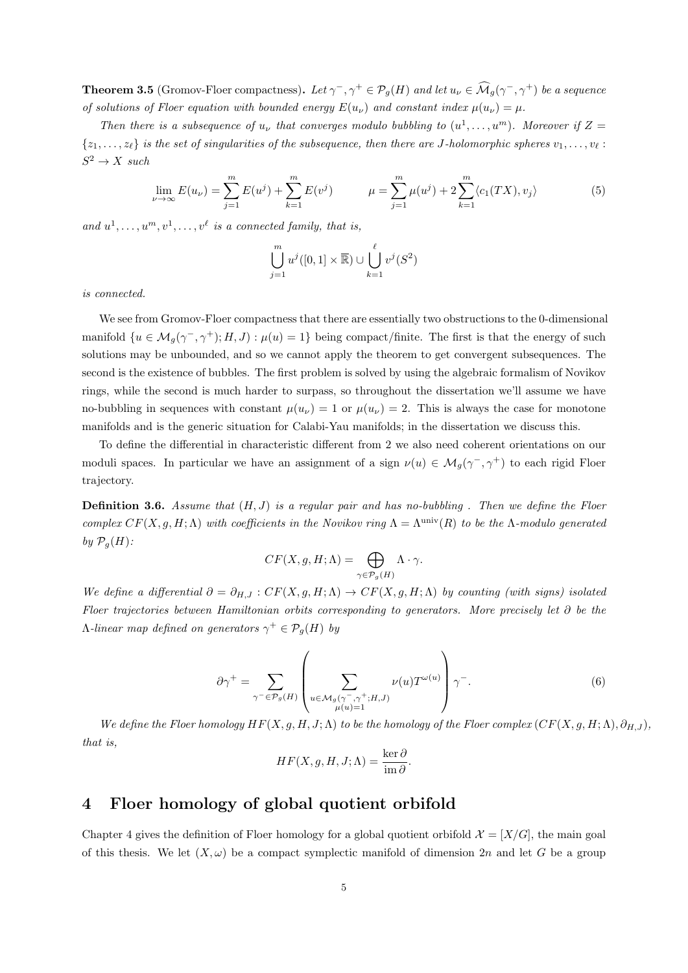**Theorem 3.5** (Gromov-Floer compactness). Let  $\gamma^-, \gamma^+ \in \mathcal{P}_g(H)$  and let  $u_\nu \in \widehat{\mathcal{M}}_g(\gamma^-, \gamma^+)$  be a sequence of solutions of Floer equation with bounded energy  $E(u_\nu)$  and constant index  $\mu(u_\nu) = \mu$ .

Then there is a subsequence of  $u_{\nu}$  that converges modulo bubbling to  $(u^1, \ldots, u^m)$ . Moreover if  $Z =$  $\{z_1, \ldots, z_\ell\}$  is the set of singularities of the subsequence, then there are J-holomorphic spheres  $v_1, \ldots, v_\ell$ :  $S^2 \to X$  such

$$
\lim_{\nu \to \infty} E(u_{\nu}) = \sum_{j=1}^{m} E(u^{j}) + \sum_{k=1}^{m} E(v^{j}) \qquad \mu = \sum_{j=1}^{m} \mu(u^{j}) + 2 \sum_{k=1}^{m} \langle c_{1}(TX), v_{j} \rangle \tag{5}
$$

and  $u^1, \ldots, u^m, v^1, \ldots, v^\ell$  is a connected family, that is,

$$
\bigcup_{j=1}^{m} u^{j}([0,1] \times \overline{\mathbb{R}}) \cup \bigcup_{k=1}^{\ell} v^{j}(S^{2})
$$

is connected.

We see from Gromov-Floer compactness that there are essentially two obstructions to the 0-dimensional manifold  $\{u \in \mathcal{M}_g(\gamma^-, \gamma^+); H, J\}$ :  $\mu(u) = 1\}$  being compact/finite. The first is that the energy of such solutions may be unbounded, and so we cannot apply the theorem to get convergent subsequences. The second is the existence of bubbles. The first problem is solved by using the algebraic formalism of Novikov rings, while the second is much harder to surpass, so throughout the dissertation we'll assume we have no-bubbling in sequences with constant  $\mu(u_\nu) = 1$  or  $\mu(u_\nu) = 2$ . This is always the case for monotone manifolds and is the generic situation for Calabi-Yau manifolds; in the dissertation we discuss this.

To define the differential in characteristic different from 2 we also need coherent orientations on our moduli spaces. In particular we have an assignment of a sign  $\nu(u) \in \mathcal{M}_g(\gamma^-, \gamma^+)$  to each rigid Floer trajectory.

<span id="page-4-0"></span>**Definition 3.6.** Assume that  $(H, J)$  is a regular pair and has no-bubbling . Then we define the Floer complex  $CF(X, g, H; \Lambda)$  with coefficients in the Novikov ring  $\Lambda = \Lambda^{\text{univ}}(R)$  to be the  $\Lambda$ -modulo generated by  $\mathcal{P}_q(H)$ :

$$
CF(X, g, H; \Lambda) = \bigoplus_{\gamma \in \mathcal{P}_g(H)} \Lambda \cdot \gamma.
$$

We define a differential  $\partial = \partial_{H,J} : CF(X,g,H;\Lambda) \to CF(X,g,H;\Lambda)$  by counting (with signs) isolated Floer trajectories between Hamiltonian orbits corresponding to generators. More precisely let ∂ be the  $\Lambda$ -linear map defined on generators  $\gamma^+ \in \mathcal{P}_g(H)$  by

$$
\partial \gamma^+ = \sum_{\gamma^- \in \mathcal{P}_g(H)} \left( \sum_{\substack{u \in \mathcal{M}_g(\gamma^-, \gamma^+, H, J) \\ \mu(u) = 1}} \nu(u) T^{\omega(u)} \right) \gamma^-. \tag{6}
$$

We define the Floer homology  $HF(X, g, H, J; \Lambda)$  to be the homology of the Floer complex  $(CF(X, g, H; \Lambda), \partial_{H,J})$ , that is,

$$
HF(X, g, H, J; \Lambda) = \frac{\ker \partial}{\mathrm{im} \,\partial}.
$$

## 4 Floer homology of global quotient orbifold

Chapter 4 gives the definition of Floer homology for a global quotient orbifold  $\mathcal{X} = [X/G]$ , the main goal of this thesis. We let  $(X, \omega)$  be a compact symplectic manifold of dimension 2n and let G be a group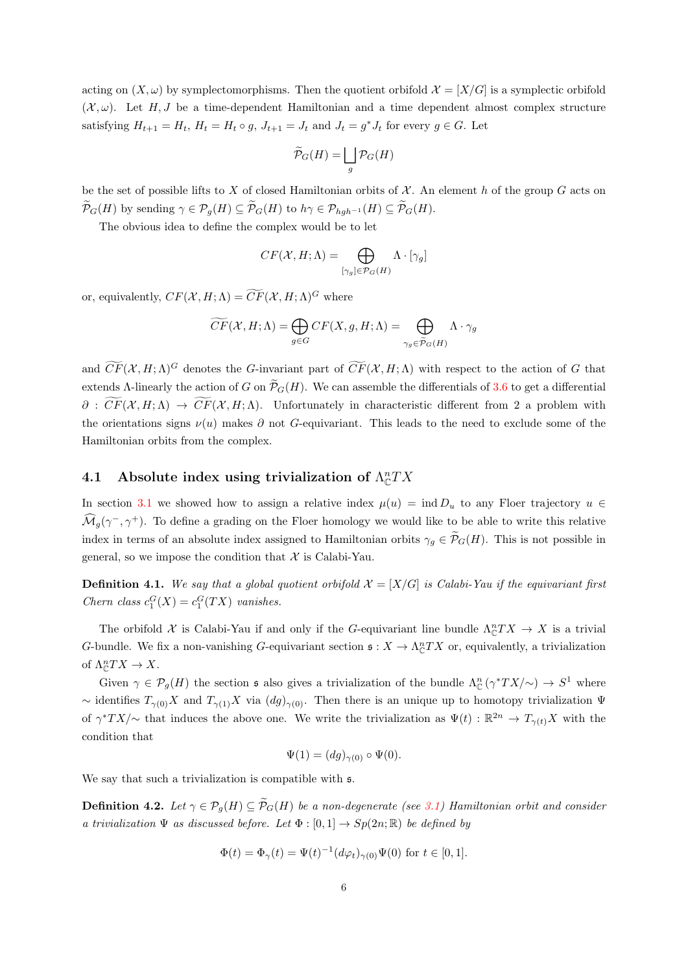acting on  $(X, \omega)$  by symplectomorphisms. Then the quotient orbifold  $\mathcal{X} = [X/G]$  is a symplectic orbifold  $(X, \omega)$ . Let H, J be a time-dependent Hamiltonian and a time dependent almost complex structure satisfying  $H_{t+1} = H_t$ ,  $H_t = H_t \circ g$ ,  $J_{t+1} = J_t$  and  $J_t = g^* J_t$  for every  $g \in G$ . Let

$$
\widetilde{\mathcal{P}}_G(H)=\bigsqcup_g \mathcal{P}_G(H)
$$

be the set of possible lifts to X of closed Hamiltonian orbits of  $\mathcal X$ . An element h of the group G acts on  $\widetilde{\mathcal{P}}_G(H)$  by sending  $\gamma \in \mathcal{P}_q(H) \subseteq \widetilde{\mathcal{P}}_G(H)$  to  $h \gamma \in \mathcal{P}_{hgh^{-1}}(H) \subseteq \widetilde{\mathcal{P}}_G(H)$ .

The obvious idea to define the complex would be to let

$$
CF(\mathcal{X}, H; \Lambda) = \bigoplus_{[\gamma_g] \in \mathcal{P}_G(H)} \Lambda \cdot [\gamma_g]
$$

or, equivalently,  $CF(X, H; \Lambda) = \widetilde{CF}(X, H; \Lambda)^G$  where

$$
\widetilde{CF}(\mathcal{X}, H; \Lambda) = \bigoplus_{g \in G} CF(X, g, H; \Lambda) = \bigoplus_{\gamma_g \in \widetilde{\mathcal{P}}_G(H)} \Lambda \cdot \gamma_g
$$

and  $\widetilde{CF}(\mathcal{X}, H; \Lambda)^G$  denotes the G-invariant part of  $\widetilde{CF}(\mathcal{X}, H; \Lambda)$  with respect to the action of G that extends Λ-linearly the action of G on  $\widetilde{\mathcal{P}}_G(H)$ . We can assemble the differentials of [3.6](#page-4-0) to get a differential  $\partial : \widetilde{CF}(X, H; \Lambda) \to \widetilde{CF}(X, H; \Lambda)$ . Unfortunately in characteristic different from 2 a problem with the orientations signs  $\nu(u)$  makes  $\partial$  not G-equivariant. This leads to the need to exclude some of the Hamiltonian orbits from the complex.

## <span id="page-5-0"></span>4.1 Absolute index using trivialization of  $\Lambda_c^nTX$

In section [3.1](#page-2-2) we showed how to assign a relative index  $\mu(u) = \text{ind } D_u$  to any Floer trajectory  $u \in$  $\widehat{\mathcal{M}}_g(\gamma^-, \gamma^+)$ . To define a grading on the Floer homology we would like to be able to write this relative index in terms of an absolute index assigned to Hamiltonian orbits  $\gamma_q \in \widetilde{\mathcal{P}}_G(H)$ . This is not possible in general, so we impose the condition that  $\mathcal X$  is Calabi-Yau.

**Definition 4.1.** We say that a global quotient orbifold  $\mathcal{X} = [X/G]$  is Calabi-Yau if the equivariant first Chern class  $c_1^G(X) = c_1^G(TX)$  vanishes.

The orbifold X is Calabi-Yau if and only if the G-equivariant line bundle  $\Lambda_{\mathbb{C}}^nTX \to X$  is a trivial G-bundle. We fix a non-vanishing G-equivariant section  $\mathfrak{s}: X \to \Lambda_{\mathbb{C}}^n TX$  or, equivalently, a trivialization of  $\Lambda_{\mathbb{C}}^nTX \to X$ .

Given  $\gamma \in \mathcal{P}_g(H)$  the section  $\mathfrak s$  also gives a trivialization of the bundle  $\Lambda_{\mathbb C}^n(\gamma^*TX/\gamma) \to S^1$  where ~ identifies  $T_{\gamma(0)}X$  and  $T_{\gamma(1)}X$  via  $(dg)_{\gamma(0)}$ . Then there is an unique up to homotopy trivialization  $\Psi$ of  $\gamma^*TX/\sim$  that induces the above one. We write the trivialization as  $\Psi(t): \mathbb{R}^{2n} \to T_{\gamma(t)}X$  with the condition that

$$
\Psi(1) = (dg)_{\gamma(0)} \circ \Psi(0).
$$

We say that such a trivialization is compatible with  $\frak{s}.$ 

<span id="page-5-1"></span>**Definition 4.2.** Let  $\gamma \in \mathcal{P}_q(H) \subseteq \widetilde{\mathcal{P}}_G(H)$  be a non-degenerate (see [3.1\)](#page-2-1) Hamiltonian orbit and consider a trivialization  $\Psi$  as discussed before. Let  $\Phi : [0,1] \to Sp(2n;\mathbb{R})$  be defined by

$$
\Phi(t) = \Phi_{\gamma}(t) = \Psi(t)^{-1} (d\varphi_t)_{\gamma(0)} \Psi(0) \text{ for } t \in [0, 1].
$$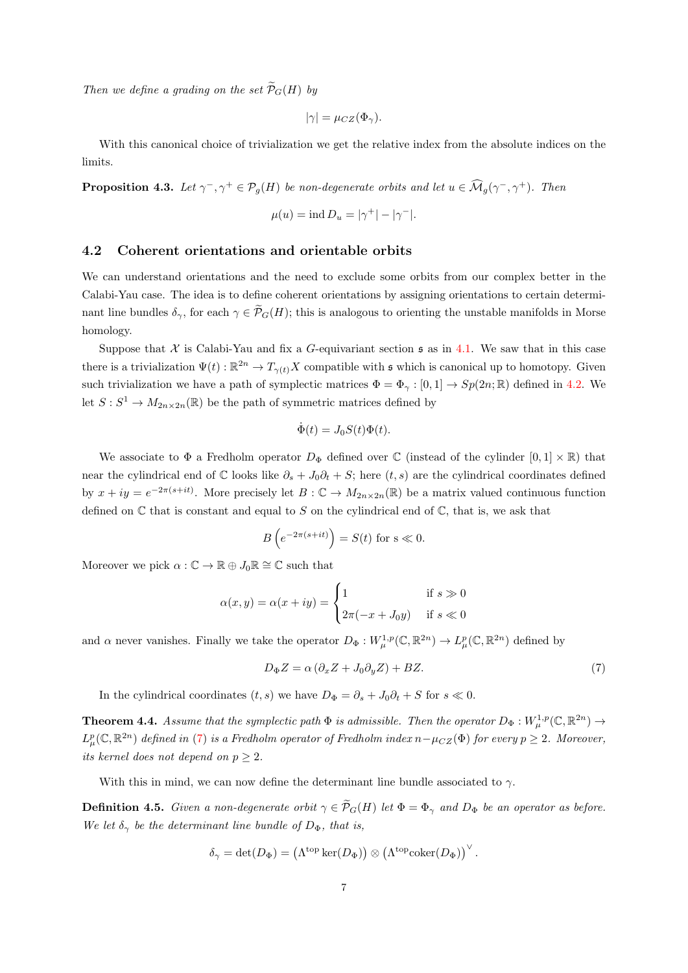Then we define a grading on the set  $\widetilde{\mathcal{P}}_G(H)$  by

$$
|\gamma| = \mu_{CZ}(\Phi_\gamma).
$$

With this canonical choice of trivialization we get the relative index from the absolute indices on the limits.

**Proposition 4.3.** Let  $\gamma^-, \gamma^+ \in \mathcal{P}_g(H)$  be non-degenerate orbits and let  $u \in \widehat{\mathcal{M}}_g(\gamma^-, \gamma^+)$ . Then

$$
\mu(u) = \text{ind } D_u = |\gamma^+| - |\gamma^-|.
$$

#### 4.2 Coherent orientations and orientable orbits

We can understand orientations and the need to exclude some orbits from our complex better in the Calabi-Yau case. The idea is to define coherent orientations by assigning orientations to certain determinant line bundles  $\delta_{\gamma}$ , for each  $\gamma \in \widetilde{\mathcal{P}}_G(H)$ ; this is analogous to orienting the unstable manifolds in Morse homology.

Suppose that X is Calabi-Yau and fix a G-equivariant section  $\mathfrak s$  as in [4.1.](#page-5-0) We saw that in this case there is a trivialization  $\Psi(t): \mathbb{R}^{2n} \to T_{\gamma(t)}X$  compatible with s which is canonical up to homotopy. Given such trivialization we have a path of symplectic matrices  $\Phi = \Phi_{\gamma} : [0, 1] \to Sp(2n; \mathbb{R})$  defined in [4.2.](#page-5-1) We let  $S: S^1 \to M_{2n \times 2n}(\mathbb{R})$  be the path of symmetric matrices defined by

$$
\dot{\Phi}(t) = J_0 S(t) \Phi(t).
$$

We associate to  $\Phi$  a Fredholm operator  $D_{\Phi}$  defined over C (instead of the cylinder  $[0,1] \times \mathbb{R}$ ) that near the cylindrical end of C looks like  $\partial_s + J_0 \partial_t + S$ ; here  $(t, s)$  are the cylindrical coordinates defined by  $x + iy = e^{-2\pi(s+it)}$ . More precisely let  $B : \mathbb{C} \to M_{2n \times 2n}(\mathbb{R})$  be a matrix valued continuous function defined on  $\mathbb C$  that is constant and equal to S on the cylindrical end of  $\mathbb C$ , that is, we ask that

$$
B\left(e^{-2\pi(s+it)}\right) = S(t) \text{ for } s \ll 0.
$$

Moreover we pick  $\alpha : \mathbb{C} \to \mathbb{R} \oplus J_0\mathbb{R} \cong \mathbb{C}$  such that

$$
\alpha(x, y) = \alpha(x + iy) = \begin{cases} 1 & \text{if } s \gg 0 \\ 2\pi(-x + J_0y) & \text{if } s \ll 0 \end{cases}
$$

and  $\alpha$  never vanishes. Finally we take the operator  $D_{\Phi}: W^{1,p}_{\mu}(\mathbb{C}, \mathbb{R}^{2n}) \to L^p_{\mu}(\mathbb{C}, \mathbb{R}^{2n})$  defined by

<span id="page-6-0"></span>
$$
D_{\Phi}Z = \alpha \left(\partial_x Z + J_0 \partial_y Z\right) + BZ. \tag{7}
$$

In the cylindrical coordinates  $(t, s)$  we have  $D_{\Phi} = \partial_s + J_0 \partial_t + S$  for  $s \ll 0$ .

**Theorem 4.4.** Assume that the symplectic path  $\Phi$  is admissible. Then the operator  $D_{\Phi}: W^{1,p}_{\mu}(\mathbb{C}, \mathbb{R}^{2n}) \to$  $L^p_\mu(\mathbb{C}, \mathbb{R}^{2n})$  defined in [\(7\)](#page-6-0) is a Fredholm operator of Fredholm index  $n-\mu_{CZ}(\Phi)$  for every  $p ≥ 2$ . Moreover, its kernel does not depend on  $p \geq 2$ .

With this in mind, we can now define the determinant line bundle associated to  $\gamma$ .

**Definition 4.5.** Given a non-degenerate orbit  $\gamma \in \widetilde{\mathcal{P}}_G(H)$  let  $\Phi = \Phi_{\gamma}$  and  $D_{\Phi}$  be an operator as before. We let  $\delta_{\gamma}$  be the determinant line bundle of  $D_{\Phi}$ , that is,

$$
\delta_{\gamma} = \det(D_{\Phi}) = \left(\Lambda^{\text{top}} \ker(D_{\Phi})\right) \otimes \left(\Lambda^{\text{top}} \text{coker}(D_{\Phi})\right)^{\vee}.
$$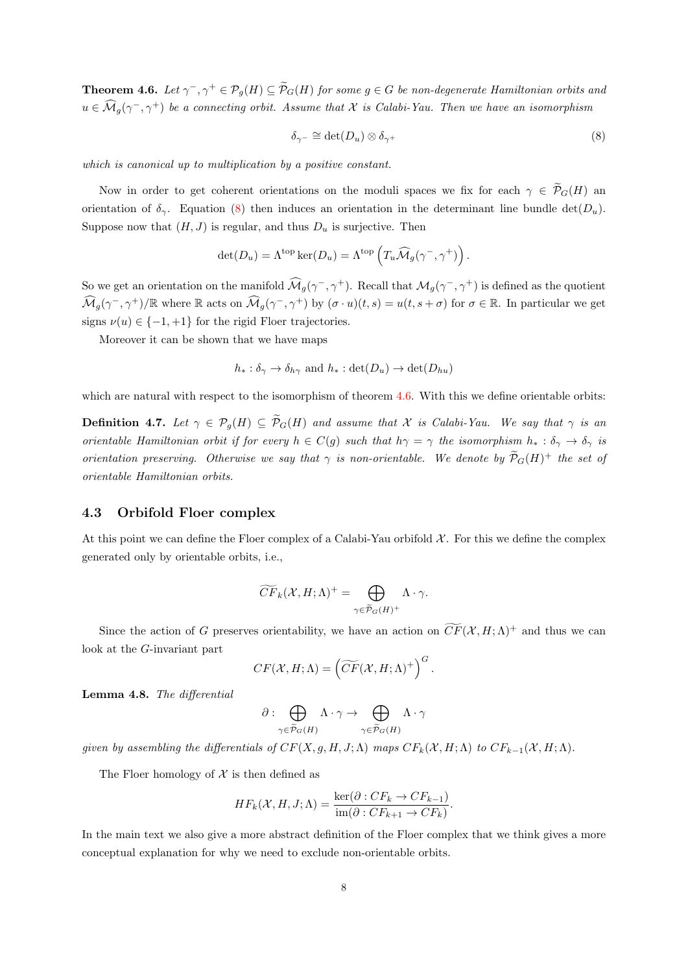<span id="page-7-1"></span>**Theorem 4.6.** Let  $\gamma^-$ ,  $\gamma^+ \in \mathcal{P}_g(H) \subseteq \widetilde{\mathcal{P}}_G(H)$  for some  $g \in G$  be non-degenerate Hamiltonian orbits and  $u \in \widehat{\mathcal{M}}_g(\gamma^-, \gamma^+)$  be a connecting orbit. Assume that  $\mathcal X$  is Calabi-Yau. Then we have an isomorphism

<span id="page-7-0"></span>
$$
\delta_{\gamma^-} \cong \det(D_u) \otimes \delta_{\gamma^+} \tag{8}
$$

which is canonical up to multiplication by a positive constant.

Now in order to get coherent orientations on the moduli spaces we fix for each  $\gamma \in \widetilde{\mathcal{P}}_G(H)$  and orientation of  $\delta_{\gamma}$ . Equation [\(8\)](#page-7-0) then induces an orientation in the determinant line bundle det( $D_u$ ). Suppose now that  $(H, J)$  is regular, and thus  $D_u$  is surjective. Then

$$
\det(D_u) = \Lambda^{\text{top}} \ker(D_u) = \Lambda^{\text{top}} \left( T_u \widehat{\mathcal{M}}_g(\gamma^-, \gamma^+) \right).
$$

So we get an orientation on the manifold  $\widehat{\mathcal{M}}_g(\gamma^-, \gamma^+)$ . Recall that  $\mathcal{M}_g(\gamma^-, \gamma^+)$  is defined as the quotient  $\widehat{\mathcal{M}}_g(\gamma^-, \gamma^+) / \mathbb{R}$  where  $\mathbb R$  acts on  $\widehat{\mathcal{M}}_g(\gamma^-, \gamma^+)$  by  $(\sigma \cdot u)(t, s) = u(t, s + \sigma)$  for  $\sigma \in \mathbb{R}$ . In particular we get signs  $\nu(u) \in \{-1, +1\}$  for the rigid Floer trajectories.

Moreover it can be shown that we have maps

$$
h_* : \delta_{\gamma} \to \delta_{h_{\gamma}}
$$
 and  $h_* : \det(D_u) \to \det(D_{hu})$ 

which are natural with respect to the isomorphism of theorem [4.6.](#page-7-1) With this we define orientable orbits:

**Definition 4.7.** Let  $\gamma \in \mathcal{P}_g(H) \subseteq \widetilde{\mathcal{P}}_G(H)$  and assume that X is Calabi-Yau. We say that  $\gamma$  is an orientable Hamiltonian orbit if for every  $h \in C(g)$  such that  $h\gamma = \gamma$  the isomorphism  $h_* : \delta_{\gamma} \to \delta_{\gamma}$  is orientation preserving. Otherwise we say that  $\gamma$  is non-orientable. We denote by  $\widetilde{\mathcal{P}}_G(H)^+$  the set of orientable Hamiltonian orbits.

#### 4.3 Orbifold Floer complex

At this point we can define the Floer complex of a Calabi-Yau orbifold  $\mathcal{X}$ . For this we define the complex generated only by orientable orbits, i.e.,

$$
\widetilde{CF}_k(\mathcal{X}, H; \Lambda)^+ = \bigoplus_{\gamma \in \widetilde{\mathcal{P}}_G(H)^+} \Lambda \cdot \gamma.
$$

Since the action of G preserves orientability, we have an action on  $\widetilde{CF}(\mathcal{X}, H; \Lambda)^+$  and thus we can look at the G-invariant part

$$
CF(\mathcal{X}, H; \Lambda) = \left( \widetilde{CF}(\mathcal{X}, H; \Lambda)^+ \right)^G.
$$

Lemma 4.8. The differential

$$
\partial : \bigoplus_{\gamma \in \widetilde{\mathcal{P}}_{G}(H)} \Lambda \cdot \gamma \to \bigoplus_{\gamma \in \widetilde{\mathcal{P}}_{G}(H)} \Lambda \cdot \gamma
$$

given by assembling the differentials of  $CF(X, g, H, J; \Lambda)$  maps  $CF_k(\mathcal{X}, H; \Lambda)$  to  $CF_{k-1}(\mathcal{X}, H; \Lambda)$ .

The Floer homology of  $\mathcal X$  is then defined as

$$
HF_k(\mathcal{X}, H, J; \Lambda) = \frac{\ker(\partial : CF_k \to CF_{k-1})}{\text{im}(\partial : CF_{k+1} \to CF_k)}.
$$

In the main text we also give a more abstract definition of the Floer complex that we think gives a more conceptual explanation for why we need to exclude non-orientable orbits.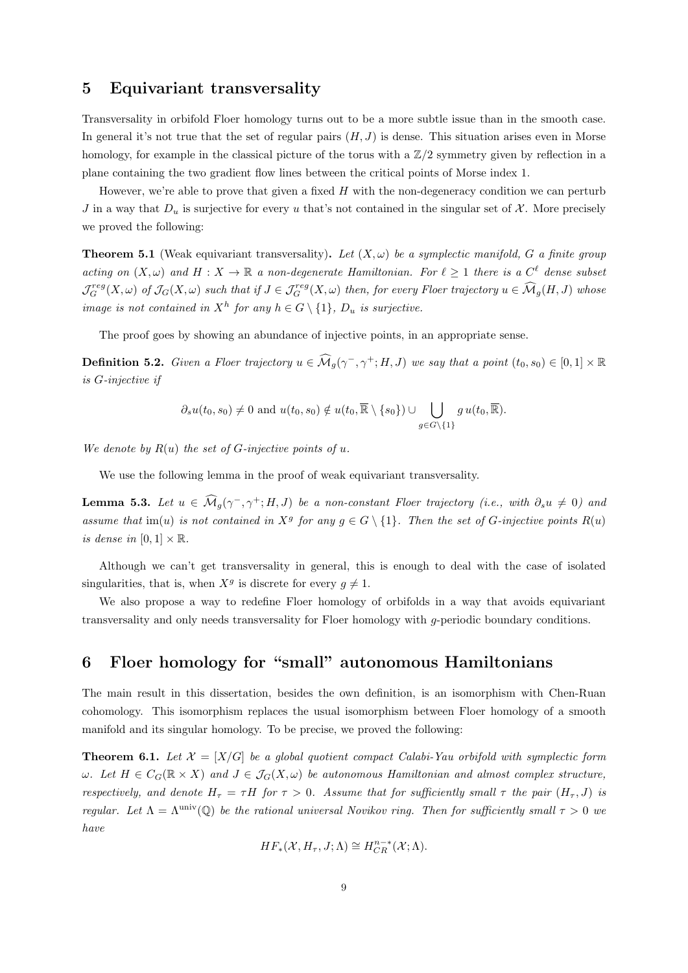## 5 Equivariant transversality

Transversality in orbifold Floer homology turns out to be a more subtle issue than in the smooth case. In general it's not true that the set of regular pairs  $(H, J)$  is dense. This situation arises even in Morse homology, for example in the classical picture of the torus with a  $\mathbb{Z}/2$  symmetry given by reflection in a plane containing the two gradient flow lines between the critical points of Morse index 1.

However, we're able to prove that given a fixed  $H$  with the non-degeneracy condition we can perturb J in a way that  $D_u$  is surjective for every u that's not contained in the singular set of X. More precisely we proved the following:

**Theorem 5.1** (Weak equivariant transversality). Let  $(X, \omega)$  be a symplectic manifold, G a finite group acting on  $(X, \omega)$  and  $H : X \to \mathbb{R}$  a non-degenerate Hamiltonian. For  $\ell \geq 1$  there is a  $C^{\ell}$  dense subset  $\mathcal{J}_G^{reg}(X,\omega)$  of  $\mathcal{J}_G(X,\omega)$  such that if  $J \in \mathcal{J}_G^{reg}(X,\omega)$  then, for every Floer trajectory  $u \in \widehat{\mathcal{M}}_g(H,J)$  whose image is not contained in  $X^h$  for any  $h \in G \setminus \{1\}$ ,  $D_u$  is surjective.

The proof goes by showing an abundance of injective points, in an appropriate sense.

**Definition 5.2.** Given a Floer trajectory  $u \in \widehat{\mathcal{M}}_g(\gamma^-, \gamma^+; H, J)$  we say that a point  $(t_0, s_0) \in [0, 1] \times \mathbb{R}$ is G-injective if

$$
\partial_s u(t_0, s_0) \neq 0
$$
 and  $u(t_0, s_0) \notin u(t_0, \overline{\mathbb{R}} \setminus \{s_0\}) \cup \bigcup_{g \in G \setminus \{1\}} g u(t_0, \overline{\mathbb{R}}).$ 

We denote by  $R(u)$  the set of G-injective points of u.

We use the following lemma in the proof of weak equivariant transversality.

**Lemma 5.3.** Let  $u \in \widehat{\mathcal{M}}_g(\gamma^-, \gamma^+; H, J)$  be a non-constant Floer trajectory (i.e., with  $\partial_s u \neq 0$ ) and assume that im(u) is not contained in  $X^g$  for any  $g \in G \setminus \{1\}$ . Then the set of G-injective points  $R(u)$ is dense in  $[0, 1] \times \mathbb{R}$ .

Although we can't get transversality in general, this is enough to deal with the case of isolated singularities, that is, when  $X^g$  is discrete for every  $g \neq 1$ .

We also propose a way to redefine Floer homology of orbifolds in a way that avoids equivariant transversality and only needs transversality for Floer homology with g-periodic boundary conditions.

## 6 Floer homology for "small" autonomous Hamiltonians

The main result in this dissertation, besides the own definition, is an isomorphism with Chen-Ruan cohomology. This isomorphism replaces the usual isomorphism between Floer homology of a smooth manifold and its singular homology. To be precise, we proved the following:

<span id="page-8-0"></span>**Theorem 6.1.** Let  $\mathcal{X} = [X/G]$  be a global quotient compact Calabi-Yau orbifold with symplectic form  $\omega$ . Let  $H \in C_G(\mathbb{R} \times X)$  and  $J \in \mathcal{J}_G(X, \omega)$  be autonomous Hamiltonian and almost complex structure, respectively, and denote  $H_{\tau} = \tau H$  for  $\tau > 0$ . Assume that for sufficiently small  $\tau$  the pair  $(H_{\tau}, J)$  is regular. Let  $\Lambda = \Lambda^{\text{univ}}(\mathbb{Q})$  be the rational universal Novikov ring. Then for sufficiently small  $\tau > 0$  we have

$$
HF_*(\mathcal{X}, H_\tau, J; \Lambda) \cong H^{n-*}_{CR}(\mathcal{X}; \Lambda).
$$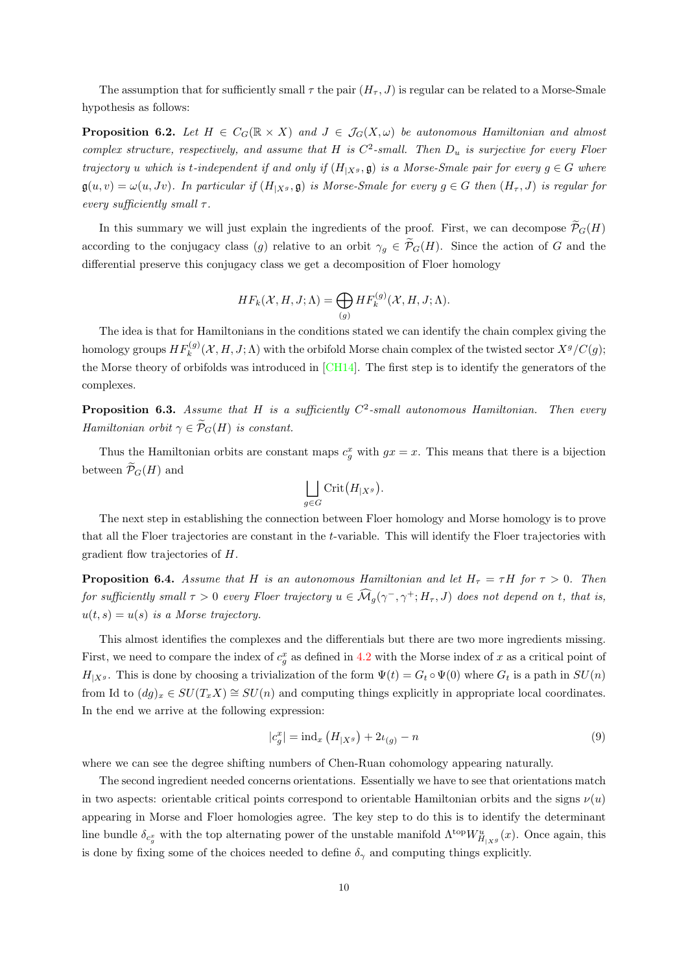The assumption that for sufficiently small  $\tau$  the pair  $(H_{\tau}, J)$  is regular can be related to a Morse-Smale hypothesis as follows:

**Proposition 6.2.** Let  $H \in C_G(\mathbb{R} \times X)$  and  $J \in \mathcal{J}_G(X,\omega)$  be autonomous Hamiltonian and almost complex structure, respectively, and assume that H is  $C^2$ -small. Then  $D_u$  is surjective for every Floer trajectory u which is t-independent if and only if  $(H_{|X^g}, \mathfrak{g})$  is a Morse-Smale pair for every  $g \in G$  where  $\mathfrak{g}(u, v) = \omega(u, Jv)$ . In particular if  $(H_{|X^g}, \mathfrak{g})$  is Morse-Smale for every  $g \in G$  then  $(H_\tau, J)$  is regular for every sufficiently small  $\tau$ .

In this summary we will just explain the ingredients of the proof. First, we can decompose  $\widetilde{\mathcal{P}}_G(H)$ according to the conjugacy class (g) relative to an orbit  $\gamma_q \in \widetilde{\mathcal{P}}_G(H)$ . Since the action of G and the differential preserve this conjugacy class we get a decomposition of Floer homology

$$
HF_k(\mathcal{X}, H, J; \Lambda) = \bigoplus_{(g)} HF_k^{(g)}(\mathcal{X}, H, J; \Lambda).
$$

The idea is that for Hamiltonians in the conditions stated we can identify the chain complex giving the homology groups  $HF_k^{(g)}(\mathcal{X},H,J;\Lambda)$  with the orbifold Morse chain complex of the twisted sector  $X^g/C(g)$ ; the Morse theory of orbifolds was introduced in [\[CH14\]](#page-10-3). The first step is to identify the generators of the complexes.

**Proposition 6.3.** Assume that H is a sufficiently  $C^2$ -small autonomous Hamiltonian. Then every Hamiltonian orbit  $\gamma \in \widetilde{\mathcal{P}}_G(H)$  is constant.

Thus the Hamiltonian orbits are constant maps  $c_g^x$  with  $gx = x$ . This means that there is a bijection between  $\widetilde{\mathcal{P}}_G(H)$  and

$$
\bigsqcup_{g\in G}\mathrm{Crit}\big(H_{|X^g}\big).
$$

The next step in establishing the connection between Floer homology and Morse homology is to prove that all the Floer trajectories are constant in the t-variable. This will identify the Floer trajectories with gradient flow trajectories of H.

**Proposition 6.4.** Assume that H is an autonomous Hamiltonian and let  $H_{\tau} = \tau H$  for  $\tau > 0$ . Then for sufficiently small  $\tau > 0$  every Floer trajectory  $u \in \widehat{M}_g(\gamma^-, \gamma^+; H_\tau, J)$  does not depend on t, that is,  $u(t, s) = u(s)$  is a Morse trajectory.

This almost identifies the complexes and the differentials but there are two more ingredients missing. First, we need to compare the index of  $c_g^x$  as defined in [4.2](#page-5-1) with the Morse index of x as a critical point of  $H_{|X^g}$ . This is done by choosing a trivialization of the form  $\Psi(t) = G_t \circ \Psi(0)$  where  $G_t$  is a path in  $SU(n)$ from Id to  $(dg)_x \in SU(T_xX) \cong SU(n)$  and computing things explicitly in appropriate local coordinates. In the end we arrive at the following expression:

$$
|c_g^x| = \text{ind}_x (H_{|X^g}) + 2\iota_{(g)} - n \tag{9}
$$

where we can see the degree shifting numbers of Chen-Ruan cohomology appearing naturally.

The second ingredient needed concerns orientations. Essentially we have to see that orientations match in two aspects: orientable critical points correspond to orientable Hamiltonian orbits and the signs  $\nu(u)$ appearing in Morse and Floer homologies agree. The key step to do this is to identify the determinant line bundle  $\delta_{c_g^x}$  with the top alternating power of the unstable manifold  $\Lambda^{top} W^u_{H_{|X^g}}(x)$ . Once again, this is done by fixing some of the choices needed to define  $\delta_{\gamma}$  and computing things explicitly.